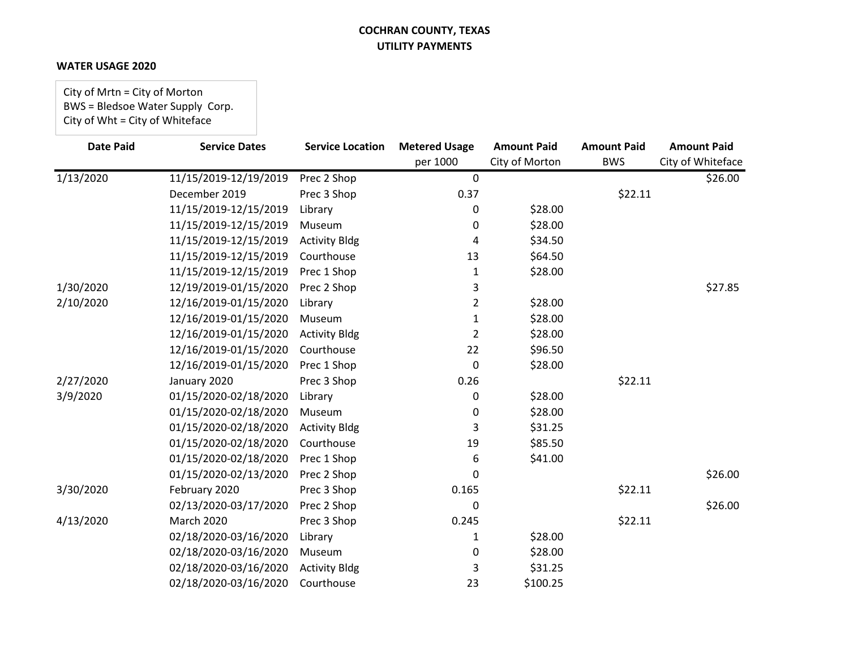#### **WATER USAGE 2020**

City of Mrtn = City of Morton BWS = Bledsoe Water Supply Corp. City of Wht = City of Whiteface

| <b>Date Paid</b> | <b>Service Dates</b>  | <b>Service Location</b> | <b>Metered Usage</b><br>per 1000 | <b>Amount Paid</b><br>City of Morton | <b>Amount Paid</b><br><b>BWS</b> | <b>Amount Paid</b><br>City of Whiteface |
|------------------|-----------------------|-------------------------|----------------------------------|--------------------------------------|----------------------------------|-----------------------------------------|
| 1/13/2020        | 11/15/2019-12/19/2019 | Prec 2 Shop             | $\mathbf 0$                      |                                      |                                  | \$26.00                                 |
|                  | December 2019         | Prec 3 Shop             | 0.37                             |                                      | \$22.11                          |                                         |
|                  | 11/15/2019-12/15/2019 | Library                 | 0                                | \$28.00                              |                                  |                                         |
|                  | 11/15/2019-12/15/2019 | Museum                  | 0                                | \$28.00                              |                                  |                                         |
|                  | 11/15/2019-12/15/2019 | <b>Activity Bldg</b>    | 4                                | \$34.50                              |                                  |                                         |
|                  | 11/15/2019-12/15/2019 | Courthouse              | 13                               | \$64.50                              |                                  |                                         |
|                  | 11/15/2019-12/15/2019 | Prec 1 Shop             | 1                                | \$28.00                              |                                  |                                         |
| 1/30/2020        | 12/19/2019-01/15/2020 | Prec 2 Shop             | 3                                |                                      |                                  | \$27.85                                 |
| 2/10/2020        | 12/16/2019-01/15/2020 | Library                 | 2                                | \$28.00                              |                                  |                                         |
|                  | 12/16/2019-01/15/2020 | Museum                  | 1                                | \$28.00                              |                                  |                                         |
|                  | 12/16/2019-01/15/2020 | <b>Activity Bldg</b>    | 2                                | \$28.00                              |                                  |                                         |
|                  | 12/16/2019-01/15/2020 | Courthouse              | 22                               | \$96.50                              |                                  |                                         |
|                  | 12/16/2019-01/15/2020 | Prec 1 Shop             | $\Omega$                         | \$28.00                              |                                  |                                         |
| 2/27/2020        | January 2020          | Prec 3 Shop             | 0.26                             |                                      | \$22.11                          |                                         |
| 3/9/2020         | 01/15/2020-02/18/2020 | Library                 | 0                                | \$28.00                              |                                  |                                         |
|                  | 01/15/2020-02/18/2020 | Museum                  | 0                                | \$28.00                              |                                  |                                         |
|                  | 01/15/2020-02/18/2020 | <b>Activity Bldg</b>    | 3                                | \$31.25                              |                                  |                                         |
|                  | 01/15/2020-02/18/2020 | Courthouse              | 19                               | \$85.50                              |                                  |                                         |
|                  | 01/15/2020-02/18/2020 | Prec 1 Shop             | 6                                | \$41.00                              |                                  |                                         |
|                  | 01/15/2020-02/13/2020 | Prec 2 Shop             | 0                                |                                      |                                  | \$26.00                                 |
| 3/30/2020        | February 2020         | Prec 3 Shop             | 0.165                            |                                      | \$22.11                          |                                         |
|                  | 02/13/2020-03/17/2020 | Prec 2 Shop             | 0                                |                                      |                                  | \$26.00                                 |
| 4/13/2020        | <b>March 2020</b>     | Prec 3 Shop             | 0.245                            |                                      | \$22.11                          |                                         |
|                  | 02/18/2020-03/16/2020 | Library                 | 1                                | \$28.00                              |                                  |                                         |
|                  | 02/18/2020-03/16/2020 | Museum                  | 0                                | \$28.00                              |                                  |                                         |
|                  | 02/18/2020-03/16/2020 | <b>Activity Bldg</b>    | 3                                | \$31.25                              |                                  |                                         |
|                  | 02/18/2020-03/16/2020 | Courthouse              | 23                               | \$100.25                             |                                  |                                         |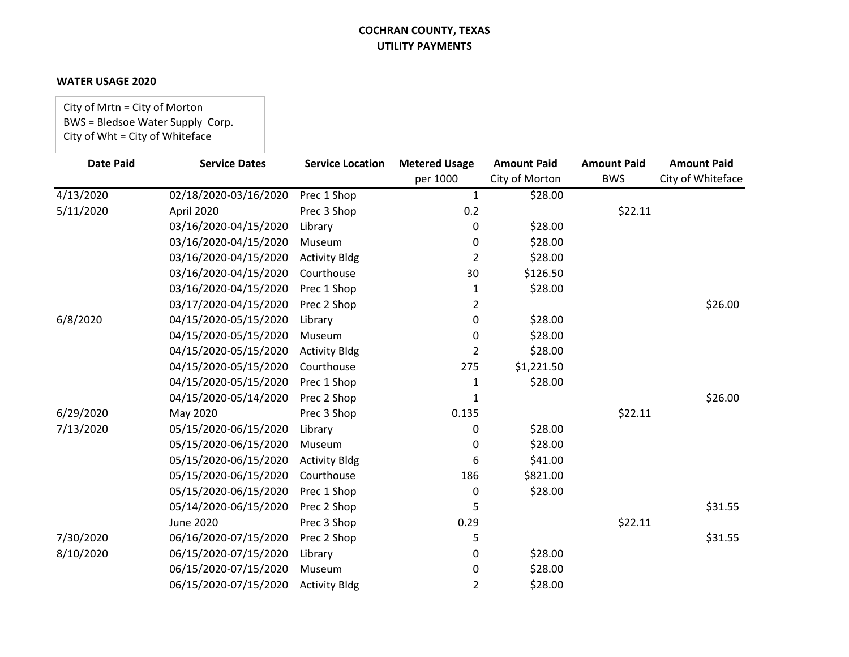#### **WATER USAGE 2020**

City of Mrtn = City of Morton BWS = Bledsoe Water Supply Corp. City of Wht = City of Whiteface

| <b>Date Paid</b> | <b>Service Dates</b>  | <b>Service Location</b> | <b>Metered Usage</b> | <b>Amount Paid</b> | <b>Amount Paid</b> | <b>Amount Paid</b> |
|------------------|-----------------------|-------------------------|----------------------|--------------------|--------------------|--------------------|
|                  |                       |                         | per 1000             | City of Morton     | <b>BWS</b>         | City of Whiteface  |
| 4/13/2020        | 02/18/2020-03/16/2020 | Prec 1 Shop             | $\mathbf{1}$         | \$28.00            |                    |                    |
| 5/11/2020        | April 2020            | Prec 3 Shop             | 0.2                  |                    | \$22.11            |                    |
|                  | 03/16/2020-04/15/2020 | Library                 | 0                    | \$28.00            |                    |                    |
|                  | 03/16/2020-04/15/2020 | Museum                  | 0                    | \$28.00            |                    |                    |
|                  | 03/16/2020-04/15/2020 | <b>Activity Bldg</b>    | 2                    | \$28.00            |                    |                    |
|                  | 03/16/2020-04/15/2020 | Courthouse              | 30                   | \$126.50           |                    |                    |
|                  | 03/16/2020-04/15/2020 | Prec 1 Shop             | 1                    | \$28.00            |                    |                    |
|                  | 03/17/2020-04/15/2020 | Prec 2 Shop             | 2                    |                    |                    | \$26.00            |
| 6/8/2020         | 04/15/2020-05/15/2020 | Library                 | 0                    | \$28.00            |                    |                    |
|                  | 04/15/2020-05/15/2020 | Museum                  | 0                    | \$28.00            |                    |                    |
|                  | 04/15/2020-05/15/2020 | <b>Activity Bldg</b>    | 2                    | \$28.00            |                    |                    |
|                  | 04/15/2020-05/15/2020 | Courthouse              | 275                  | \$1,221.50         |                    |                    |
|                  | 04/15/2020-05/15/2020 | Prec 1 Shop             | 1                    | \$28.00            |                    |                    |
|                  | 04/15/2020-05/14/2020 | Prec 2 Shop             | 1                    |                    |                    | \$26.00            |
| 6/29/2020        | May 2020              | Prec 3 Shop             | 0.135                |                    | \$22.11            |                    |
| 7/13/2020        | 05/15/2020-06/15/2020 | Library                 | 0                    | \$28.00            |                    |                    |
|                  | 05/15/2020-06/15/2020 | Museum                  | 0                    | \$28.00            |                    |                    |
|                  | 05/15/2020-06/15/2020 | <b>Activity Bldg</b>    | 6                    | \$41.00            |                    |                    |
|                  | 05/15/2020-06/15/2020 | Courthouse              | 186                  | \$821.00           |                    |                    |
|                  | 05/15/2020-06/15/2020 | Prec 1 Shop             | 0                    | \$28.00            |                    |                    |
|                  | 05/14/2020-06/15/2020 | Prec 2 Shop             | 5                    |                    |                    | \$31.55            |
|                  | <b>June 2020</b>      | Prec 3 Shop             | 0.29                 |                    | \$22.11            |                    |
| 7/30/2020        | 06/16/2020-07/15/2020 | Prec 2 Shop             | 5                    |                    |                    | \$31.55            |
| 8/10/2020        | 06/15/2020-07/15/2020 | Library                 | 0                    | \$28.00            |                    |                    |
|                  | 06/15/2020-07/15/2020 | Museum                  | 0                    | \$28.00            |                    |                    |
|                  | 06/15/2020-07/15/2020 | <b>Activity Bldg</b>    | 2                    | \$28.00            |                    |                    |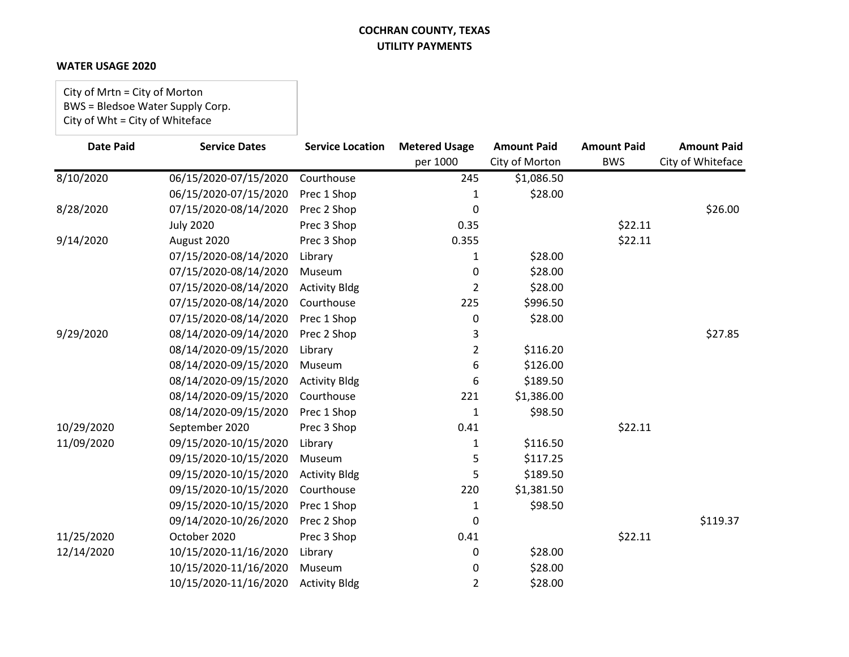#### **WATER USAGE 2020**

City of Mrtn = City of Morton BWS = Bledsoe Water Supply Corp. City of Wht = City of Whiteface

| <b>Date Paid</b> | <b>Service Dates</b>  | <b>Service Location</b> | <b>Metered Usage</b><br>per 1000 | <b>Amount Paid</b><br>City of Morton | <b>Amount Paid</b><br><b>BWS</b> | <b>Amount Paid</b><br>City of Whiteface |
|------------------|-----------------------|-------------------------|----------------------------------|--------------------------------------|----------------------------------|-----------------------------------------|
| 8/10/2020        | 06/15/2020-07/15/2020 | Courthouse              | 245                              | \$1,086.50                           |                                  |                                         |
|                  | 06/15/2020-07/15/2020 | Prec 1 Shop             | 1                                | \$28.00                              |                                  |                                         |
| 8/28/2020        | 07/15/2020-08/14/2020 | Prec 2 Shop             | 0                                |                                      |                                  | \$26.00                                 |
|                  | <b>July 2020</b>      | Prec 3 Shop             | 0.35                             |                                      | \$22.11                          |                                         |
| 9/14/2020        | August 2020           | Prec 3 Shop             | 0.355                            |                                      | \$22.11                          |                                         |
|                  | 07/15/2020-08/14/2020 | Library                 | 1                                | \$28.00                              |                                  |                                         |
|                  | 07/15/2020-08/14/2020 | Museum                  | 0                                | \$28.00                              |                                  |                                         |
|                  | 07/15/2020-08/14/2020 | <b>Activity Bldg</b>    | 2                                | \$28.00                              |                                  |                                         |
|                  | 07/15/2020-08/14/2020 | Courthouse              | 225                              | \$996.50                             |                                  |                                         |
|                  | 07/15/2020-08/14/2020 | Prec 1 Shop             | 0                                | \$28.00                              |                                  |                                         |
| 9/29/2020        | 08/14/2020-09/14/2020 | Prec 2 Shop             | 3                                |                                      |                                  | \$27.85                                 |
|                  | 08/14/2020-09/15/2020 | Library                 | 2                                | \$116.20                             |                                  |                                         |
|                  | 08/14/2020-09/15/2020 | Museum                  | 6                                | \$126.00                             |                                  |                                         |
|                  | 08/14/2020-09/15/2020 | <b>Activity Bldg</b>    | 6                                | \$189.50                             |                                  |                                         |
|                  | 08/14/2020-09/15/2020 | Courthouse              | 221                              | \$1,386.00                           |                                  |                                         |
|                  | 08/14/2020-09/15/2020 | Prec 1 Shop             | 1                                | \$98.50                              |                                  |                                         |
| 10/29/2020       | September 2020        | Prec 3 Shop             | 0.41                             |                                      | \$22.11                          |                                         |
| 11/09/2020       | 09/15/2020-10/15/2020 | Library                 | 1                                | \$116.50                             |                                  |                                         |
|                  | 09/15/2020-10/15/2020 | Museum                  | 5                                | \$117.25                             |                                  |                                         |
|                  | 09/15/2020-10/15/2020 | <b>Activity Bldg</b>    | 5                                | \$189.50                             |                                  |                                         |
|                  | 09/15/2020-10/15/2020 | Courthouse              | 220                              | \$1,381.50                           |                                  |                                         |
|                  | 09/15/2020-10/15/2020 | Prec 1 Shop             | 1                                | \$98.50                              |                                  |                                         |
|                  | 09/14/2020-10/26/2020 | Prec 2 Shop             | 0                                |                                      |                                  | \$119.37                                |
| 11/25/2020       | October 2020          | Prec 3 Shop             | 0.41                             |                                      | \$22.11                          |                                         |
| 12/14/2020       | 10/15/2020-11/16/2020 | Library                 | 0                                | \$28.00                              |                                  |                                         |
|                  | 10/15/2020-11/16/2020 | Museum                  | 0                                | \$28.00                              |                                  |                                         |
|                  | 10/15/2020-11/16/2020 | <b>Activity Bldg</b>    | 2                                | \$28.00                              |                                  |                                         |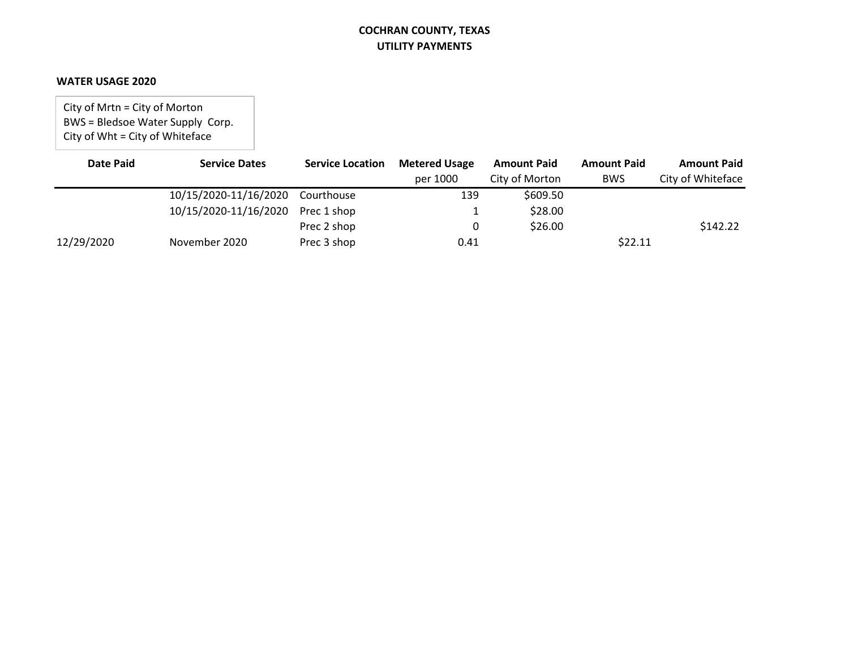#### **WATER USAGE 2020**

City of Mrtn = City of Morton BWS = Bledsoe Water Supply Corp. City of Wht = City of Whiteface

| Date Paid  | <b>Service Dates</b>              | <b>Service Location</b> | <b>Metered Usage</b> | <b>Amount Paid</b> | <b>Amount Paid</b> | <b>Amount Paid</b> |
|------------|-----------------------------------|-------------------------|----------------------|--------------------|--------------------|--------------------|
|            |                                   |                         | per 1000             | City of Morton     | <b>BWS</b>         | City of Whiteface  |
|            | 10/15/2020-11/16/2020             | Courthouse              | 139                  | \$609.50           |                    |                    |
|            | 10/15/2020-11/16/2020 Prec 1 shop |                         |                      | \$28.00            |                    |                    |
|            |                                   | Prec 2 shop             |                      | \$26.00            |                    | \$142.22           |
| 12/29/2020 | November 2020                     | Prec 3 shop             | 0.41                 |                    | \$22.11            |                    |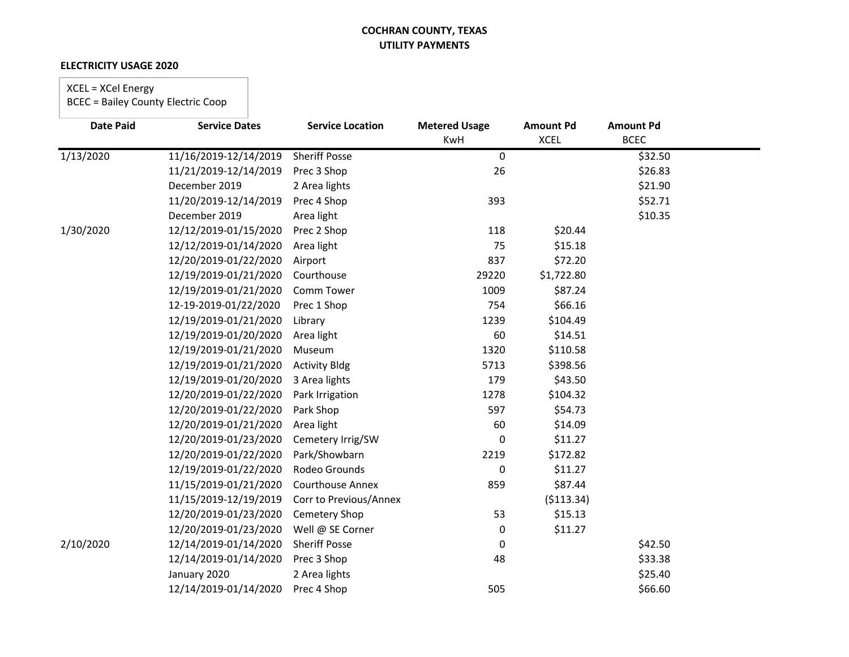#### **ELECTRICITY USAGE 2020**

# XCEL = XCel Energy

| <b>Date Paid</b> | <b>Service Dates</b>  | <b>Service Location</b> | <b>Metered Usage</b> | <b>Amount Pd</b> | <b>Amount Pd</b> |  |
|------------------|-----------------------|-------------------------|----------------------|------------------|------------------|--|
|                  |                       |                         | KwH                  | <b>XCEL</b>      | <b>BCEC</b>      |  |
| 1/13/2020        | 11/16/2019-12/14/2019 | <b>Sheriff Posse</b>    | $\mathbf 0$          |                  | \$32.50          |  |
|                  | 11/21/2019-12/14/2019 | Prec 3 Shop             | 26                   |                  | \$26.83          |  |
|                  | December 2019         | 2 Area lights           |                      |                  | \$21.90          |  |
|                  | 11/20/2019-12/14/2019 | Prec 4 Shop             | 393                  |                  | \$52.71          |  |
|                  | December 2019         | Area light              |                      |                  | \$10.35          |  |
| 1/30/2020        | 12/12/2019-01/15/2020 | Prec 2 Shop             | 118                  | \$20.44          |                  |  |
|                  | 12/12/2019-01/14/2020 | Area light              | 75                   | \$15.18          |                  |  |
|                  | 12/20/2019-01/22/2020 | Airport                 | 837                  | \$72.20          |                  |  |
|                  | 12/19/2019-01/21/2020 | Courthouse              | 29220                | \$1,722.80       |                  |  |
|                  | 12/19/2019-01/21/2020 | Comm Tower              | 1009                 | \$87.24          |                  |  |
|                  | 12-19-2019-01/22/2020 | Prec 1 Shop             | 754                  | \$66.16          |                  |  |
|                  | 12/19/2019-01/21/2020 | Library                 | 1239                 | \$104.49         |                  |  |
|                  | 12/19/2019-01/20/2020 | Area light              | 60                   | \$14.51          |                  |  |
|                  | 12/19/2019-01/21/2020 | Museum                  | 1320                 | \$110.58         |                  |  |
|                  | 12/19/2019-01/21/2020 | <b>Activity Bldg</b>    | 5713                 | \$398.56         |                  |  |
|                  | 12/19/2019-01/20/2020 | 3 Area lights           | 179                  | \$43.50          |                  |  |
|                  | 12/20/2019-01/22/2020 | Park Irrigation         | 1278                 | \$104.32         |                  |  |
|                  | 12/20/2019-01/22/2020 | Park Shop               | 597                  | \$54.73          |                  |  |
|                  | 12/20/2019-01/21/2020 | Area light              | 60                   | \$14.09          |                  |  |
|                  | 12/20/2019-01/23/2020 | Cemetery Irrig/SW       | 0                    | \$11.27          |                  |  |
|                  | 12/20/2019-01/22/2020 | Park/Showbarn           | 2219                 | \$172.82         |                  |  |
|                  | 12/19/2019-01/22/2020 | Rodeo Grounds           | 0                    | \$11.27          |                  |  |
|                  | 11/15/2019-01/21/2020 | <b>Courthouse Annex</b> | 859                  | \$87.44          |                  |  |
|                  | 11/15/2019-12/19/2019 | Corr to Previous/Annex  |                      | ( \$113.34)      |                  |  |
|                  | 12/20/2019-01/23/2020 | Cemetery Shop           | 53                   | \$15.13          |                  |  |
|                  | 12/20/2019-01/23/2020 | Well @ SE Corner        | 0                    | \$11.27          |                  |  |
| 2/10/2020        | 12/14/2019-01/14/2020 | <b>Sheriff Posse</b>    | 0                    |                  | \$42.50          |  |
|                  | 12/14/2019-01/14/2020 | Prec 3 Shop             | 48                   |                  | \$33.38          |  |
|                  | January 2020          | 2 Area lights           |                      |                  | \$25.40          |  |
|                  | 12/14/2019-01/14/2020 | Prec 4 Shop             | 505                  |                  | \$66.60          |  |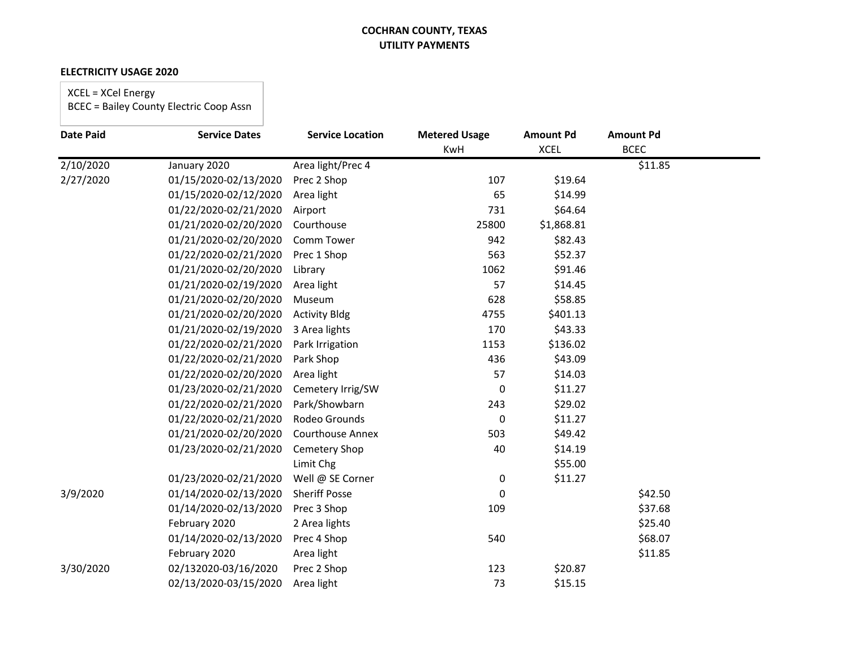#### **ELECTRICITY USAGE 2020**

# XCEL = XCel Energy

| <b>Date Paid</b> | <b>Service Dates</b>  | <b>Service Location</b> | <b>Metered Usage</b> | <b>Amount Pd</b> | <b>Amount Pd</b> |  |
|------------------|-----------------------|-------------------------|----------------------|------------------|------------------|--|
|                  |                       |                         | KwH                  | <b>XCEL</b>      | <b>BCEC</b>      |  |
| 2/10/2020        | January 2020          | Area light/Prec 4       |                      |                  | \$11.85          |  |
| 2/27/2020        | 01/15/2020-02/13/2020 | Prec 2 Shop             | 107                  | \$19.64          |                  |  |
|                  | 01/15/2020-02/12/2020 | Area light              | 65                   | \$14.99          |                  |  |
|                  | 01/22/2020-02/21/2020 | Airport                 | 731                  | \$64.64          |                  |  |
|                  | 01/21/2020-02/20/2020 | Courthouse              | 25800                | \$1,868.81       |                  |  |
|                  | 01/21/2020-02/20/2020 | Comm Tower              | 942                  | \$82.43          |                  |  |
|                  | 01/22/2020-02/21/2020 | Prec 1 Shop             | 563                  | \$52.37          |                  |  |
|                  | 01/21/2020-02/20/2020 | Library                 | 1062                 | \$91.46          |                  |  |
|                  | 01/21/2020-02/19/2020 | Area light              | 57                   | \$14.45          |                  |  |
|                  | 01/21/2020-02/20/2020 | Museum                  | 628                  | \$58.85          |                  |  |
|                  | 01/21/2020-02/20/2020 | <b>Activity Bldg</b>    | 4755                 | \$401.13         |                  |  |
|                  | 01/21/2020-02/19/2020 | 3 Area lights           | 170                  | \$43.33          |                  |  |
|                  | 01/22/2020-02/21/2020 | Park Irrigation         | 1153                 | \$136.02         |                  |  |
|                  | 01/22/2020-02/21/2020 | Park Shop               | 436                  | \$43.09          |                  |  |
|                  | 01/22/2020-02/20/2020 | Area light              | 57                   | \$14.03          |                  |  |
|                  | 01/23/2020-02/21/2020 | Cemetery Irrig/SW       | 0                    | \$11.27          |                  |  |
|                  | 01/22/2020-02/21/2020 | Park/Showbarn           | 243                  | \$29.02          |                  |  |
|                  | 01/22/2020-02/21/2020 | Rodeo Grounds           | $\mathbf 0$          | \$11.27          |                  |  |
|                  | 01/21/2020-02/20/2020 | Courthouse Annex        | 503                  | \$49.42          |                  |  |
|                  | 01/23/2020-02/21/2020 | <b>Cemetery Shop</b>    | 40                   | \$14.19          |                  |  |
|                  |                       | Limit Chg               |                      | \$55.00          |                  |  |
|                  | 01/23/2020-02/21/2020 | Well @ SE Corner        | $\pmb{0}$            | \$11.27          |                  |  |
| 3/9/2020         | 01/14/2020-02/13/2020 | <b>Sheriff Posse</b>    | 0                    |                  | \$42.50          |  |
|                  | 01/14/2020-02/13/2020 | Prec 3 Shop             | 109                  |                  | \$37.68          |  |
|                  | February 2020         | 2 Area lights           |                      |                  | \$25.40          |  |
|                  | 01/14/2020-02/13/2020 | Prec 4 Shop             | 540                  |                  | \$68.07          |  |
|                  | February 2020         | Area light              |                      |                  | \$11.85          |  |
| 3/30/2020        | 02/132020-03/16/2020  | Prec 2 Shop             | 123                  | \$20.87          |                  |  |
|                  | 02/13/2020-03/15/2020 | Area light              | 73                   | \$15.15          |                  |  |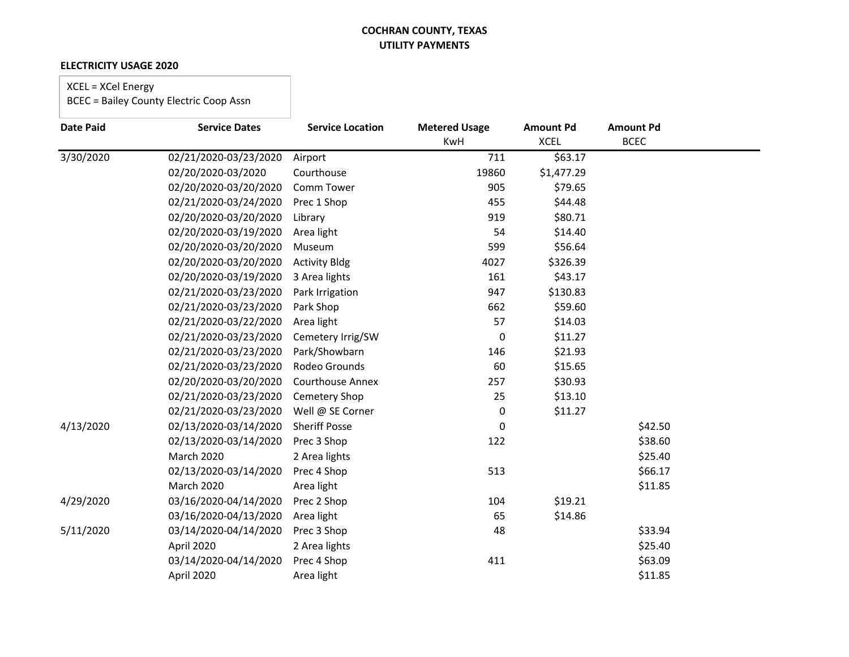#### **ELECTRICITY USAGE 2020**

# XCEL = XCel Energy

| <b>Date Paid</b> | <b>Service Dates</b>  | <b>Service Location</b> | <b>Metered Usage</b> | <b>Amount Pd</b> | <b>Amount Pd</b> |
|------------------|-----------------------|-------------------------|----------------------|------------------|------------------|
|                  |                       |                         | KwH                  | <b>XCEL</b>      | <b>BCEC</b>      |
| 3/30/2020        | 02/21/2020-03/23/2020 | Airport                 | 711                  | \$63.17          |                  |
|                  | 02/20/2020-03/2020    | Courthouse              | 19860                | \$1,477.29       |                  |
|                  | 02/20/2020-03/20/2020 | Comm Tower              | 905                  | \$79.65          |                  |
|                  | 02/21/2020-03/24/2020 | Prec 1 Shop             | 455                  | \$44.48          |                  |
|                  | 02/20/2020-03/20/2020 | Library                 | 919                  | \$80.71          |                  |
|                  | 02/20/2020-03/19/2020 | Area light              | 54                   | \$14.40          |                  |
|                  | 02/20/2020-03/20/2020 | Museum                  | 599                  | \$56.64          |                  |
|                  | 02/20/2020-03/20/2020 | <b>Activity Bldg</b>    | 4027                 | \$326.39         |                  |
|                  | 02/20/2020-03/19/2020 | 3 Area lights           | 161                  | \$43.17          |                  |
|                  | 02/21/2020-03/23/2020 | Park Irrigation         | 947                  | \$130.83         |                  |
|                  | 02/21/2020-03/23/2020 | Park Shop               | 662                  | \$59.60          |                  |
|                  | 02/21/2020-03/22/2020 | Area light              | 57                   | \$14.03          |                  |
|                  | 02/21/2020-03/23/2020 | Cemetery Irrig/SW       | 0                    | \$11.27          |                  |
|                  | 02/21/2020-03/23/2020 | Park/Showbarn           | 146                  | \$21.93          |                  |
|                  | 02/21/2020-03/23/2020 | Rodeo Grounds           | 60                   | \$15.65          |                  |
|                  | 02/20/2020-03/20/2020 | Courthouse Annex        | 257                  | \$30.93          |                  |
|                  | 02/21/2020-03/23/2020 | Cemetery Shop           | 25                   | \$13.10          |                  |
|                  | 02/21/2020-03/23/2020 | Well @ SE Corner        | 0                    | \$11.27          |                  |
| 4/13/2020        | 02/13/2020-03/14/2020 | <b>Sheriff Posse</b>    | 0                    |                  | \$42.50          |
|                  | 02/13/2020-03/14/2020 | Prec 3 Shop             | 122                  |                  | \$38.60          |
|                  | March 2020            | 2 Area lights           |                      |                  | \$25.40          |
|                  | 02/13/2020-03/14/2020 | Prec 4 Shop             | 513                  |                  | \$66.17          |
|                  | <b>March 2020</b>     | Area light              |                      |                  | \$11.85          |
| 4/29/2020        | 03/16/2020-04/14/2020 | Prec 2 Shop             | 104                  | \$19.21          |                  |
|                  | 03/16/2020-04/13/2020 | Area light              | 65                   | \$14.86          |                  |
| 5/11/2020        | 03/14/2020-04/14/2020 | Prec 3 Shop             | 48                   |                  | \$33.94          |
|                  | April 2020            | 2 Area lights           |                      |                  | \$25.40          |
|                  | 03/14/2020-04/14/2020 | Prec 4 Shop             | 411                  |                  | \$63.09          |
|                  | April 2020            | Area light              |                      |                  | \$11.85          |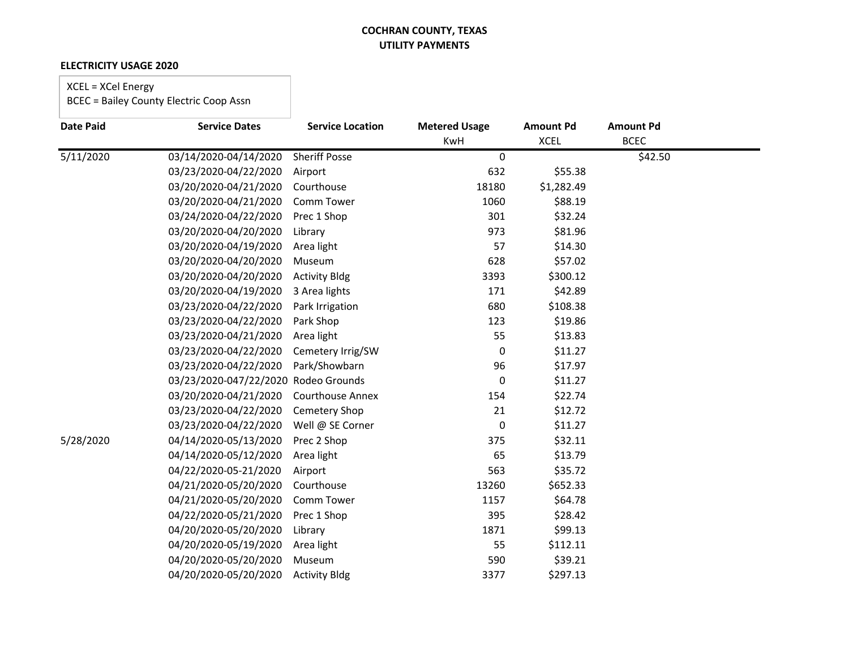#### **ELECTRICITY USAGE 2020**

# XCEL = XCel Energy

| <b>Date Paid</b> | <b>Service Dates</b>   | <b>Service Location</b> | <b>Metered Usage</b> | <b>Amount Pd</b> | <b>Amount Pd</b> |  |
|------------------|------------------------|-------------------------|----------------------|------------------|------------------|--|
|                  |                        |                         | <b>KwH</b>           | <b>XCEL</b>      | <b>BCEC</b>      |  |
| 5/11/2020        | 03/14/2020-04/14/2020  | <b>Sheriff Posse</b>    | $\mathbf 0$          |                  | \$42.50          |  |
|                  | 03/23/2020-04/22/2020  | Airport                 | 632                  | \$55.38          |                  |  |
|                  | 03/20/2020-04/21/2020  | Courthouse              | 18180                | \$1,282.49       |                  |  |
|                  | 03/20/2020-04/21/2020  | Comm Tower              | 1060                 | \$88.19          |                  |  |
|                  | 03/24/2020-04/22/2020  | Prec 1 Shop             | 301                  | \$32.24          |                  |  |
|                  | 03/20/2020-04/20/2020  | Library                 | 973                  | \$81.96          |                  |  |
|                  | 03/20/2020-04/19/2020  | Area light              | 57                   | \$14.30          |                  |  |
|                  | 03/20/2020-04/20/2020  | Museum                  | 628                  | \$57.02          |                  |  |
|                  | 03/20/2020-04/20/2020  | <b>Activity Bldg</b>    | 3393                 | \$300.12         |                  |  |
|                  | 03/20/2020-04/19/2020  | 3 Area lights           | 171                  | \$42.89          |                  |  |
|                  | 03/23/2020-04/22/2020  | Park Irrigation         | 680                  | \$108.38         |                  |  |
|                  | 03/23/2020-04/22/2020  | Park Shop               | 123                  | \$19.86          |                  |  |
|                  | 03/23/2020-04/21/2020  | Area light              | 55                   | \$13.83          |                  |  |
|                  | 03/23/2020-04/22/2020  | Cemetery Irrig/SW       | 0                    | \$11.27          |                  |  |
|                  | 03/23/2020-04/22/2020  | Park/Showbarn           | 96                   | \$17.97          |                  |  |
|                  | 03/23/2020-047/22/2020 | Rodeo Grounds           | 0                    | \$11.27          |                  |  |
|                  | 03/20/2020-04/21/2020  | <b>Courthouse Annex</b> | 154                  | \$22.74          |                  |  |
|                  | 03/23/2020-04/22/2020  | <b>Cemetery Shop</b>    | 21                   | \$12.72          |                  |  |
|                  | 03/23/2020-04/22/2020  | Well @ SE Corner        | 0                    | \$11.27          |                  |  |
| 5/28/2020        | 04/14/2020-05/13/2020  | Prec 2 Shop             | 375                  | \$32.11          |                  |  |
|                  | 04/14/2020-05/12/2020  | Area light              | 65                   | \$13.79          |                  |  |
|                  | 04/22/2020-05-21/2020  | Airport                 | 563                  | \$35.72          |                  |  |
|                  | 04/21/2020-05/20/2020  | Courthouse              | 13260                | \$652.33         |                  |  |
|                  | 04/21/2020-05/20/2020  | Comm Tower              | 1157                 | \$64.78          |                  |  |
|                  | 04/22/2020-05/21/2020  | Prec 1 Shop             | 395                  | \$28.42          |                  |  |
|                  | 04/20/2020-05/20/2020  | Library                 | 1871                 | \$99.13          |                  |  |
|                  | 04/20/2020-05/19/2020  | Area light              | 55                   | \$112.11         |                  |  |
|                  | 04/20/2020-05/20/2020  | Museum                  | 590                  | \$39.21          |                  |  |
|                  | 04/20/2020-05/20/2020  | <b>Activity Bldg</b>    | 3377                 | \$297.13         |                  |  |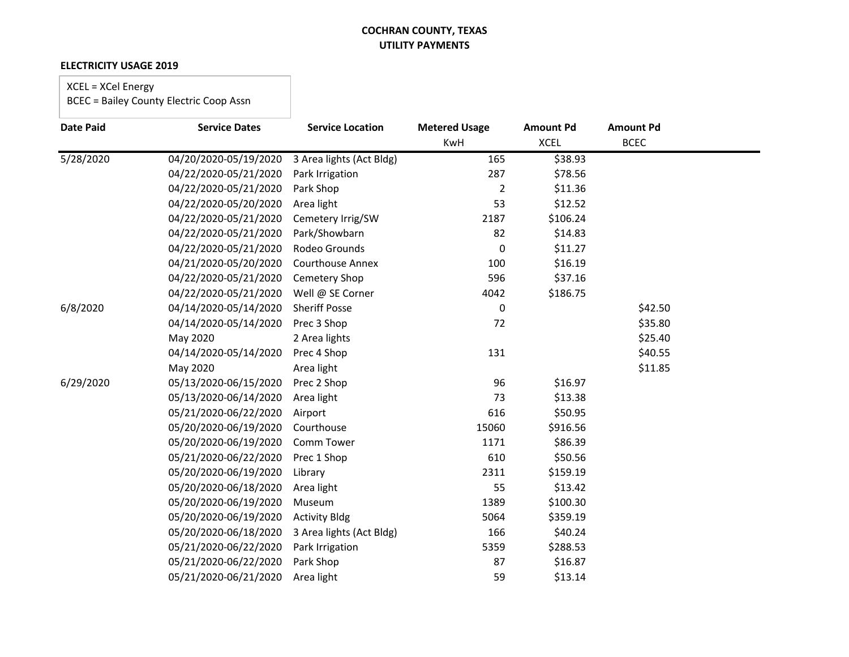#### **ELECTRICITY USAGE 2019**

# XCEL = XCel Energy

| <b>Date Paid</b> | <b>Service Dates</b>  | <b>Service Location</b>  | <b>Metered Usage</b> | <b>Amount Pd</b> | <b>Amount Pd</b> |  |
|------------------|-----------------------|--------------------------|----------------------|------------------|------------------|--|
|                  |                       |                          | KwH                  | <b>XCEL</b>      | <b>BCEC</b>      |  |
| 5/28/2020        | 04/20/2020-05/19/2020 | 3 Area lights (Act Bldg) | 165                  | \$38.93          |                  |  |
|                  | 04/22/2020-05/21/2020 | Park Irrigation          | 287                  | \$78.56          |                  |  |
|                  | 04/22/2020-05/21/2020 | Park Shop                | $\overline{2}$       | \$11.36          |                  |  |
|                  | 04/22/2020-05/20/2020 | Area light               | 53                   | \$12.52          |                  |  |
|                  | 04/22/2020-05/21/2020 | Cemetery Irrig/SW        | 2187                 | \$106.24         |                  |  |
|                  | 04/22/2020-05/21/2020 | Park/Showbarn            | 82                   | \$14.83          |                  |  |
|                  | 04/22/2020-05/21/2020 | Rodeo Grounds            | 0                    | \$11.27          |                  |  |
|                  | 04/21/2020-05/20/2020 | <b>Courthouse Annex</b>  | 100                  | \$16.19          |                  |  |
|                  | 04/22/2020-05/21/2020 | Cemetery Shop            | 596                  | \$37.16          |                  |  |
|                  | 04/22/2020-05/21/2020 | Well @ SE Corner         | 4042                 | \$186.75         |                  |  |
| 6/8/2020         | 04/14/2020-05/14/2020 | <b>Sheriff Posse</b>     | 0                    |                  | \$42.50          |  |
|                  | 04/14/2020-05/14/2020 | Prec 3 Shop              | 72                   |                  | \$35.80          |  |
|                  | May 2020              | 2 Area lights            |                      |                  | \$25.40          |  |
|                  | 04/14/2020-05/14/2020 | Prec 4 Shop              | 131                  |                  | \$40.55          |  |
|                  | May 2020              | Area light               |                      |                  | \$11.85          |  |
| 6/29/2020        | 05/13/2020-06/15/2020 | Prec 2 Shop              | 96                   | \$16.97          |                  |  |
|                  | 05/13/2020-06/14/2020 | Area light               | 73                   | \$13.38          |                  |  |
|                  | 05/21/2020-06/22/2020 | Airport                  | 616                  | \$50.95          |                  |  |
|                  | 05/20/2020-06/19/2020 | Courthouse               | 15060                | \$916.56         |                  |  |
|                  | 05/20/2020-06/19/2020 | Comm Tower               | 1171                 | \$86.39          |                  |  |
|                  | 05/21/2020-06/22/2020 | Prec 1 Shop              | 610                  | \$50.56          |                  |  |
|                  | 05/20/2020-06/19/2020 | Library                  | 2311                 | \$159.19         |                  |  |
|                  | 05/20/2020-06/18/2020 | Area light               | 55                   | \$13.42          |                  |  |
|                  | 05/20/2020-06/19/2020 | Museum                   | 1389                 | \$100.30         |                  |  |
|                  | 05/20/2020-06/19/2020 | <b>Activity Bldg</b>     | 5064                 | \$359.19         |                  |  |
|                  | 05/20/2020-06/18/2020 | 3 Area lights (Act Bldg) | 166                  | \$40.24          |                  |  |
|                  | 05/21/2020-06/22/2020 | Park Irrigation          | 5359                 | \$288.53         |                  |  |
|                  | 05/21/2020-06/22/2020 | Park Shop                | 87                   | \$16.87          |                  |  |
|                  | 05/21/2020-06/21/2020 | Area light               | 59                   | \$13.14          |                  |  |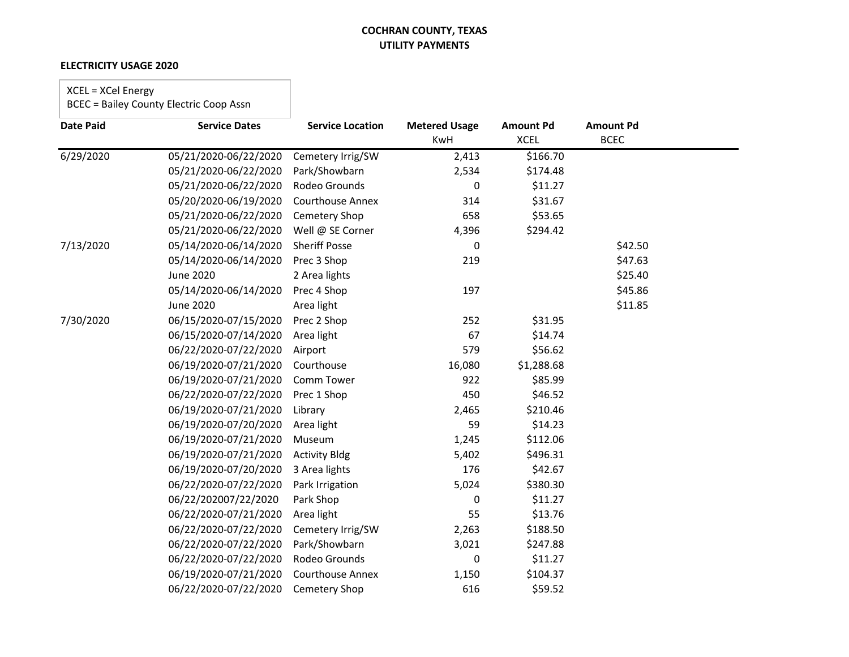#### **ELECTRICITY USAGE 2020**

# XCEL = XCel Energy

| <b>Date Paid</b> | <b>Service Dates</b>  | <b>Service Location</b> | <b>Metered Usage</b> | <b>Amount Pd</b> | <b>Amount Pd</b> |  |
|------------------|-----------------------|-------------------------|----------------------|------------------|------------------|--|
|                  |                       |                         | <b>KwH</b>           | <b>XCEL</b>      | <b>BCEC</b>      |  |
| 6/29/2020        | 05/21/2020-06/22/2020 | Cemetery Irrig/SW       | 2,413                | \$166.70         |                  |  |
|                  | 05/21/2020-06/22/2020 | Park/Showbarn           | 2,534                | \$174.48         |                  |  |
|                  | 05/21/2020-06/22/2020 | Rodeo Grounds           | 0                    | \$11.27          |                  |  |
|                  | 05/20/2020-06/19/2020 | Courthouse Annex        | 314                  | \$31.67          |                  |  |
|                  | 05/21/2020-06/22/2020 | Cemetery Shop           | 658                  | \$53.65          |                  |  |
|                  | 05/21/2020-06/22/2020 | Well @ SE Corner        | 4,396                | \$294.42         |                  |  |
| 7/13/2020        | 05/14/2020-06/14/2020 | <b>Sheriff Posse</b>    | 0                    |                  | \$42.50          |  |
|                  | 05/14/2020-06/14/2020 | Prec 3 Shop             | 219                  |                  | \$47.63          |  |
|                  | <b>June 2020</b>      | 2 Area lights           |                      |                  | \$25.40          |  |
|                  | 05/14/2020-06/14/2020 | Prec 4 Shop             | 197                  |                  | \$45.86          |  |
|                  | <b>June 2020</b>      | Area light              |                      |                  | \$11.85          |  |
| 7/30/2020        | 06/15/2020-07/15/2020 | Prec 2 Shop             | 252                  | \$31.95          |                  |  |
|                  | 06/15/2020-07/14/2020 | Area light              | 67                   | \$14.74          |                  |  |
|                  | 06/22/2020-07/22/2020 | Airport                 | 579                  | \$56.62          |                  |  |
|                  | 06/19/2020-07/21/2020 | Courthouse              | 16,080               | \$1,288.68       |                  |  |
|                  | 06/19/2020-07/21/2020 | Comm Tower              | 922                  | \$85.99          |                  |  |
|                  | 06/22/2020-07/22/2020 | Prec 1 Shop             | 450                  | \$46.52          |                  |  |
|                  | 06/19/2020-07/21/2020 | Library                 | 2,465                | \$210.46         |                  |  |
|                  | 06/19/2020-07/20/2020 | Area light              | 59                   | \$14.23          |                  |  |
|                  | 06/19/2020-07/21/2020 | Museum                  | 1,245                | \$112.06         |                  |  |
|                  | 06/19/2020-07/21/2020 | <b>Activity Bldg</b>    | 5,402                | \$496.31         |                  |  |
|                  | 06/19/2020-07/20/2020 | 3 Area lights           | 176                  | \$42.67          |                  |  |
|                  | 06/22/2020-07/22/2020 | Park Irrigation         | 5,024                | \$380.30         |                  |  |
|                  | 06/22/202007/22/2020  | Park Shop               | 0                    | \$11.27          |                  |  |
|                  | 06/22/2020-07/21/2020 | Area light              | 55                   | \$13.76          |                  |  |
|                  | 06/22/2020-07/22/2020 | Cemetery Irrig/SW       | 2,263                | \$188.50         |                  |  |
|                  | 06/22/2020-07/22/2020 | Park/Showbarn           | 3,021                | \$247.88         |                  |  |
|                  | 06/22/2020-07/22/2020 | Rodeo Grounds           | 0                    | \$11.27          |                  |  |
|                  | 06/19/2020-07/21/2020 | <b>Courthouse Annex</b> | 1,150                | \$104.37         |                  |  |
|                  | 06/22/2020-07/22/2020 | Cemetery Shop           | 616                  | \$59.52          |                  |  |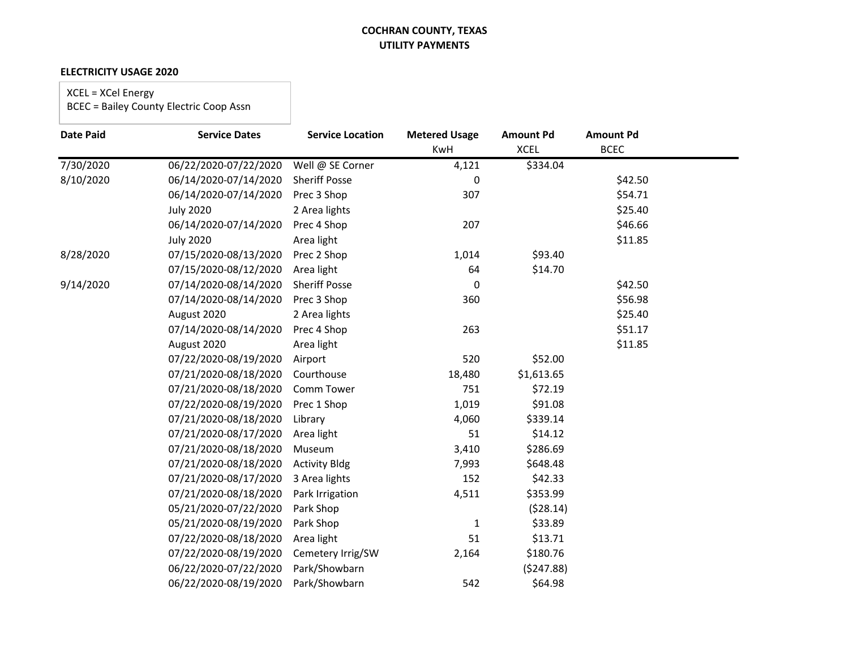#### **ELECTRICITY USAGE 2020**

XCEL = XCel Energy

| <b>Date Paid</b> | <b>Service Dates</b>  | <b>Service Location</b> | <b>Metered Usage</b> | <b>Amount Pd</b> | <b>Amount Pd</b> |  |
|------------------|-----------------------|-------------------------|----------------------|------------------|------------------|--|
|                  |                       |                         | KwH                  | <b>XCEL</b>      | <b>BCEC</b>      |  |
| 7/30/2020        | 06/22/2020-07/22/2020 | Well @ SE Corner        | 4,121                | \$334.04         |                  |  |
| 8/10/2020        | 06/14/2020-07/14/2020 | <b>Sheriff Posse</b>    | 0                    |                  | \$42.50          |  |
|                  | 06/14/2020-07/14/2020 | Prec 3 Shop             | 307                  |                  | \$54.71          |  |
|                  | <b>July 2020</b>      | 2 Area lights           |                      |                  | \$25.40          |  |
|                  | 06/14/2020-07/14/2020 | Prec 4 Shop             | 207                  |                  | \$46.66          |  |
|                  | <b>July 2020</b>      | Area light              |                      |                  | \$11.85          |  |
| 8/28/2020        | 07/15/2020-08/13/2020 | Prec 2 Shop             | 1,014                | \$93.40          |                  |  |
|                  | 07/15/2020-08/12/2020 | Area light              | 64                   | \$14.70          |                  |  |
| 9/14/2020        | 07/14/2020-08/14/2020 | <b>Sheriff Posse</b>    | 0                    |                  | \$42.50          |  |
|                  | 07/14/2020-08/14/2020 | Prec 3 Shop             | 360                  |                  | \$56.98          |  |
|                  | August 2020           | 2 Area lights           |                      |                  | \$25.40          |  |
|                  | 07/14/2020-08/14/2020 | Prec 4 Shop             | 263                  |                  | \$51.17          |  |
|                  | August 2020           | Area light              |                      |                  | \$11.85          |  |
|                  | 07/22/2020-08/19/2020 | Airport                 | 520                  | \$52.00          |                  |  |
|                  | 07/21/2020-08/18/2020 | Courthouse              | 18,480               | \$1,613.65       |                  |  |
|                  | 07/21/2020-08/18/2020 | Comm Tower              | 751                  | \$72.19          |                  |  |
|                  | 07/22/2020-08/19/2020 | Prec 1 Shop             | 1,019                | \$91.08          |                  |  |
|                  | 07/21/2020-08/18/2020 | Library                 | 4,060                | \$339.14         |                  |  |
|                  | 07/21/2020-08/17/2020 | Area light              | 51                   | \$14.12          |                  |  |
|                  | 07/21/2020-08/18/2020 | Museum                  | 3,410                | \$286.69         |                  |  |
|                  | 07/21/2020-08/18/2020 | <b>Activity Bldg</b>    | 7,993                | \$648.48         |                  |  |
|                  | 07/21/2020-08/17/2020 | 3 Area lights           | 152                  | \$42.33          |                  |  |
|                  | 07/21/2020-08/18/2020 | Park Irrigation         | 4,511                | \$353.99         |                  |  |
|                  | 05/21/2020-07/22/2020 | Park Shop               |                      | (528.14)         |                  |  |
|                  | 05/21/2020-08/19/2020 | Park Shop               | 1                    | \$33.89          |                  |  |
|                  | 07/22/2020-08/18/2020 | Area light              | 51                   | \$13.71          |                  |  |
|                  | 07/22/2020-08/19/2020 | Cemetery Irrig/SW       | 2,164                | \$180.76         |                  |  |
|                  | 06/22/2020-07/22/2020 | Park/Showbarn           |                      | (5247.88)        |                  |  |
|                  | 06/22/2020-08/19/2020 | Park/Showbarn           | 542                  | \$64.98          |                  |  |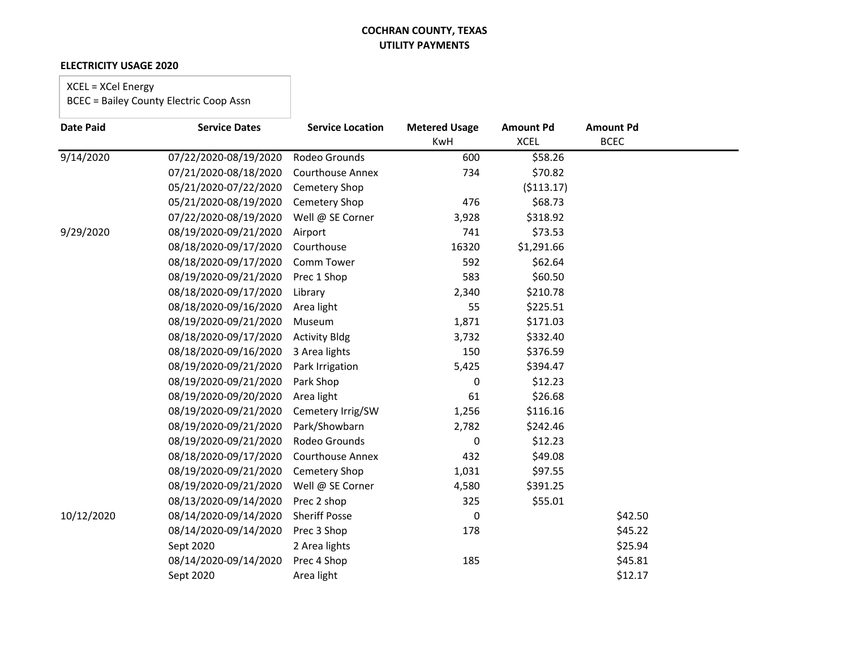#### **ELECTRICITY USAGE 2020**

# XCEL = XCel Energy

| <b>Date Paid</b> | <b>Service Dates</b>  | <b>Service Location</b> | <b>Metered Usage</b> | <b>Amount Pd</b> | <b>Amount Pd</b> |
|------------------|-----------------------|-------------------------|----------------------|------------------|------------------|
|                  |                       |                         | <b>KwH</b>           | <b>XCEL</b>      | <b>BCEC</b>      |
| 9/14/2020        | 07/22/2020-08/19/2020 | Rodeo Grounds           | 600                  | \$58.26          |                  |
|                  | 07/21/2020-08/18/2020 | <b>Courthouse Annex</b> | 734                  | \$70.82          |                  |
|                  | 05/21/2020-07/22/2020 | <b>Cemetery Shop</b>    |                      | (5113.17)        |                  |
|                  | 05/21/2020-08/19/2020 | Cemetery Shop           | 476                  | \$68.73          |                  |
|                  | 07/22/2020-08/19/2020 | Well @ SE Corner        | 3,928                | \$318.92         |                  |
| 9/29/2020        | 08/19/2020-09/21/2020 | Airport                 | 741                  | \$73.53          |                  |
|                  | 08/18/2020-09/17/2020 | Courthouse              | 16320                | \$1,291.66       |                  |
|                  | 08/18/2020-09/17/2020 | Comm Tower              | 592                  | \$62.64          |                  |
|                  | 08/19/2020-09/21/2020 | Prec 1 Shop             | 583                  | \$60.50          |                  |
|                  | 08/18/2020-09/17/2020 | Library                 | 2,340                | \$210.78         |                  |
|                  | 08/18/2020-09/16/2020 | Area light              | 55                   | \$225.51         |                  |
|                  | 08/19/2020-09/21/2020 | Museum                  | 1,871                | \$171.03         |                  |
|                  | 08/18/2020-09/17/2020 | <b>Activity Bldg</b>    | 3,732                | \$332.40         |                  |
|                  | 08/18/2020-09/16/2020 | 3 Area lights           | 150                  | \$376.59         |                  |
|                  | 08/19/2020-09/21/2020 | Park Irrigation         | 5,425                | \$394.47         |                  |
|                  | 08/19/2020-09/21/2020 | Park Shop               | 0                    | \$12.23          |                  |
|                  | 08/19/2020-09/20/2020 | Area light              | 61                   | \$26.68          |                  |
|                  | 08/19/2020-09/21/2020 | Cemetery Irrig/SW       | 1,256                | \$116.16         |                  |
|                  | 08/19/2020-09/21/2020 | Park/Showbarn           | 2,782                | \$242.46         |                  |
|                  | 08/19/2020-09/21/2020 | Rodeo Grounds           | 0                    | \$12.23          |                  |
|                  | 08/18/2020-09/17/2020 | <b>Courthouse Annex</b> | 432                  | \$49.08          |                  |
|                  | 08/19/2020-09/21/2020 | <b>Cemetery Shop</b>    | 1,031                | \$97.55          |                  |
|                  | 08/19/2020-09/21/2020 | Well @ SE Corner        | 4,580                | \$391.25         |                  |
|                  | 08/13/2020-09/14/2020 | Prec 2 shop             | 325                  | \$55.01          |                  |
| 10/12/2020       | 08/14/2020-09/14/2020 | <b>Sheriff Posse</b>    | 0                    |                  | \$42.50          |
|                  | 08/14/2020-09/14/2020 | Prec 3 Shop             | 178                  |                  | \$45.22          |
|                  | Sept 2020             | 2 Area lights           |                      |                  | \$25.94          |
|                  | 08/14/2020-09/14/2020 | Prec 4 Shop             | 185                  |                  | \$45.81          |
|                  | Sept 2020             | Area light              |                      |                  | \$12.17          |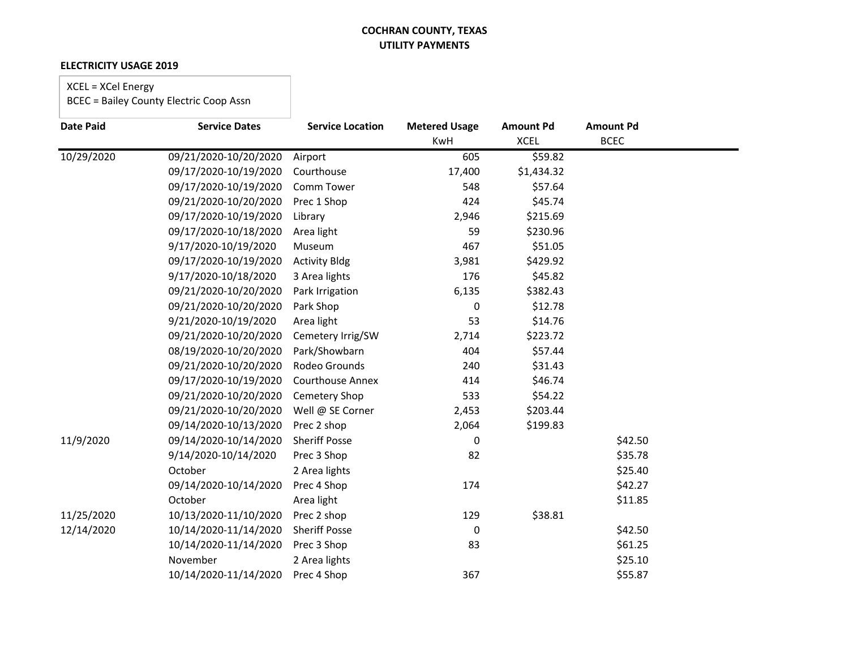#### **ELECTRICITY USAGE 2019**

# XCEL = XCel Energy

| <b>Date Paid</b> | <b>Service Dates</b>  | <b>Service Location</b> | <b>Metered Usage</b> | <b>Amount Pd</b> | <b>Amount Pd</b> |  |
|------------------|-----------------------|-------------------------|----------------------|------------------|------------------|--|
|                  |                       |                         | KwH                  | <b>XCEL</b>      | <b>BCEC</b>      |  |
| 10/29/2020       | 09/21/2020-10/20/2020 | Airport                 | 605                  | \$59.82          |                  |  |
|                  | 09/17/2020-10/19/2020 | Courthouse              | 17,400               | \$1,434.32       |                  |  |
|                  | 09/17/2020-10/19/2020 | Comm Tower              | 548                  | \$57.64          |                  |  |
|                  | 09/21/2020-10/20/2020 | Prec 1 Shop             | 424                  | \$45.74          |                  |  |
|                  | 09/17/2020-10/19/2020 | Library                 | 2,946                | \$215.69         |                  |  |
|                  | 09/17/2020-10/18/2020 | Area light              | 59                   | \$230.96         |                  |  |
|                  | 9/17/2020-10/19/2020  | Museum                  | 467                  | \$51.05          |                  |  |
|                  | 09/17/2020-10/19/2020 | <b>Activity Bldg</b>    | 3,981                | \$429.92         |                  |  |
|                  | 9/17/2020-10/18/2020  | 3 Area lights           | 176                  | \$45.82          |                  |  |
|                  | 09/21/2020-10/20/2020 | Park Irrigation         | 6,135                | \$382.43         |                  |  |
|                  | 09/21/2020-10/20/2020 | Park Shop               | 0                    | \$12.78          |                  |  |
|                  | 9/21/2020-10/19/2020  | Area light              | 53                   | \$14.76          |                  |  |
|                  | 09/21/2020-10/20/2020 | Cemetery Irrig/SW       | 2,714                | \$223.72         |                  |  |
|                  | 08/19/2020-10/20/2020 | Park/Showbarn           | 404                  | \$57.44          |                  |  |
|                  | 09/21/2020-10/20/2020 | Rodeo Grounds           | 240                  | \$31.43          |                  |  |
|                  | 09/17/2020-10/19/2020 | <b>Courthouse Annex</b> | 414                  | \$46.74          |                  |  |
|                  | 09/21/2020-10/20/2020 | Cemetery Shop           | 533                  | \$54.22          |                  |  |
|                  | 09/21/2020-10/20/2020 | Well @ SE Corner        | 2,453                | \$203.44         |                  |  |
|                  | 09/14/2020-10/13/2020 | Prec 2 shop             | 2,064                | \$199.83         |                  |  |
| 11/9/2020        | 09/14/2020-10/14/2020 | <b>Sheriff Posse</b>    | 0                    |                  | \$42.50          |  |
|                  | 9/14/2020-10/14/2020  | Prec 3 Shop             | 82                   |                  | \$35.78          |  |
|                  | October               | 2 Area lights           |                      |                  | \$25.40          |  |
|                  | 09/14/2020-10/14/2020 | Prec 4 Shop             | 174                  |                  | \$42.27          |  |
|                  | October               | Area light              |                      |                  | \$11.85          |  |
| 11/25/2020       | 10/13/2020-11/10/2020 | Prec 2 shop             | 129                  | \$38.81          |                  |  |
| 12/14/2020       | 10/14/2020-11/14/2020 | <b>Sheriff Posse</b>    | 0                    |                  | \$42.50          |  |
|                  | 10/14/2020-11/14/2020 | Prec 3 Shop             | 83                   |                  | \$61.25          |  |
|                  | November              | 2 Area lights           |                      |                  | \$25.10          |  |
|                  | 10/14/2020-11/14/2020 | Prec 4 Shop             | 367                  |                  | \$55.87          |  |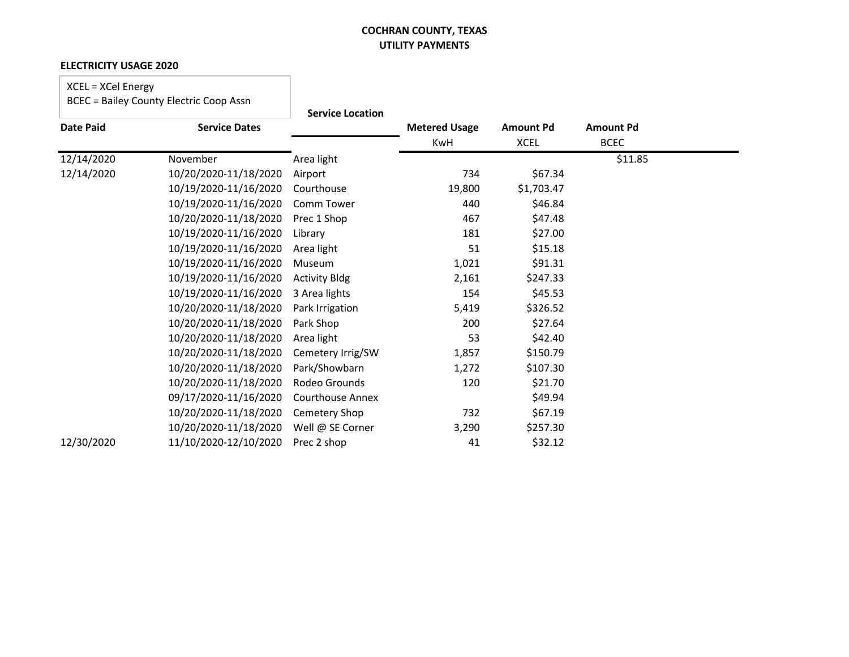#### **ELECTRICITY USAGE 2020**

# XCEL = XCel Energy

|                  |                       | <b>Service Location</b> |                      |                  |                  |  |
|------------------|-----------------------|-------------------------|----------------------|------------------|------------------|--|
| <b>Date Paid</b> | <b>Service Dates</b>  |                         | <b>Metered Usage</b> | <b>Amount Pd</b> | <b>Amount Pd</b> |  |
|                  |                       |                         | KwH                  | <b>XCEL</b>      | <b>BCEC</b>      |  |
| 12/14/2020       | November              | Area light              |                      |                  | \$11.85          |  |
| 12/14/2020       | 10/20/2020-11/18/2020 | Airport                 | 734                  | \$67.34          |                  |  |
|                  | 10/19/2020-11/16/2020 | Courthouse              | 19,800               | \$1,703.47       |                  |  |
|                  | 10/19/2020-11/16/2020 | Comm Tower              | 440                  | \$46.84          |                  |  |
|                  | 10/20/2020-11/18/2020 | Prec 1 Shop             | 467                  | \$47.48          |                  |  |
|                  | 10/19/2020-11/16/2020 | Library                 | 181                  | \$27.00          |                  |  |
|                  | 10/19/2020-11/16/2020 | Area light              | 51                   | \$15.18          |                  |  |
|                  | 10/19/2020-11/16/2020 | Museum                  | 1,021                | \$91.31          |                  |  |
|                  | 10/19/2020-11/16/2020 | <b>Activity Bldg</b>    | 2,161                | \$247.33         |                  |  |
|                  | 10/19/2020-11/16/2020 | 3 Area lights           | 154                  | \$45.53          |                  |  |
|                  | 10/20/2020-11/18/2020 | Park Irrigation         | 5,419                | \$326.52         |                  |  |
|                  | 10/20/2020-11/18/2020 | Park Shop               | 200                  | \$27.64          |                  |  |
|                  | 10/20/2020-11/18/2020 | Area light              | 53                   | \$42.40          |                  |  |
|                  | 10/20/2020-11/18/2020 | Cemetery Irrig/SW       | 1,857                | \$150.79         |                  |  |
|                  | 10/20/2020-11/18/2020 | Park/Showbarn           | 1,272                | \$107.30         |                  |  |
|                  | 10/20/2020-11/18/2020 | Rodeo Grounds           | 120                  | \$21.70          |                  |  |
|                  | 09/17/2020-11/16/2020 | Courthouse Annex        |                      | \$49.94          |                  |  |
|                  | 10/20/2020-11/18/2020 | Cemetery Shop           | 732                  | \$67.19          |                  |  |
|                  | 10/20/2020-11/18/2020 | Well @ SE Corner        | 3,290                | \$257.30         |                  |  |
| 12/30/2020       | 11/10/2020-12/10/2020 | Prec 2 shop             | 41                   | \$32.12          |                  |  |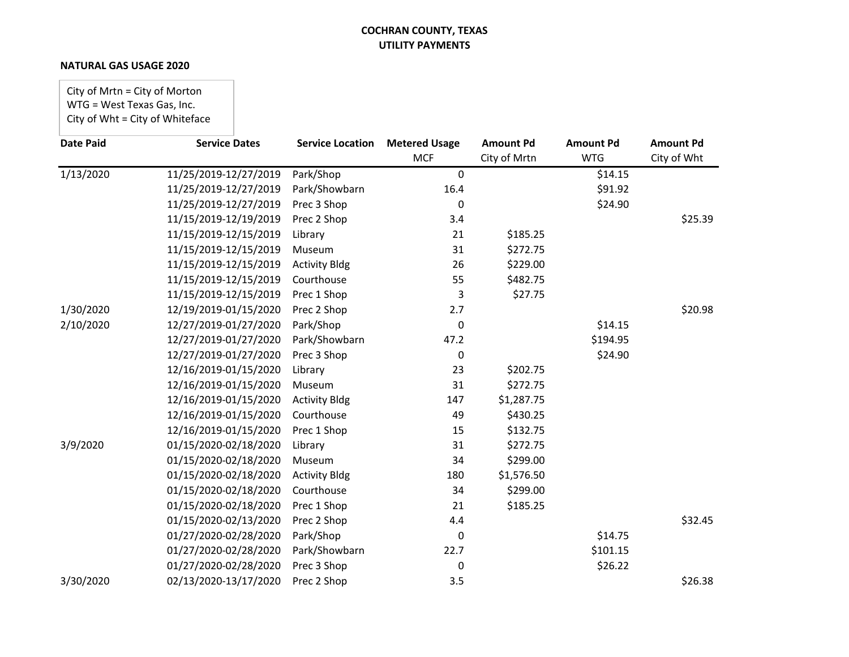#### **NATURAL GAS USAGE 2020**

City of Mrtn = City of Morton WTG = West Texas Gas, Inc. City of Wht = City of Whiteface

| <b>Date Paid</b> | <b>Service Dates</b>  | <b>Service Location</b> | <b>Metered Usage</b> | <b>Amount Pd</b> | <b>Amount Pd</b> | <b>Amount Pd</b> |
|------------------|-----------------------|-------------------------|----------------------|------------------|------------------|------------------|
|                  |                       |                         | <b>MCF</b>           | City of Mrtn     | <b>WTG</b>       | City of Wht      |
| 1/13/2020        | 11/25/2019-12/27/2019 | Park/Shop               | 0                    |                  | \$14.15          |                  |
|                  | 11/25/2019-12/27/2019 | Park/Showbarn           | 16.4                 |                  | \$91.92          |                  |
|                  | 11/25/2019-12/27/2019 | Prec 3 Shop             | 0                    |                  | \$24.90          |                  |
|                  | 11/15/2019-12/19/2019 | Prec 2 Shop             | 3.4                  |                  |                  | \$25.39          |
|                  | 11/15/2019-12/15/2019 | Library                 | 21                   | \$185.25         |                  |                  |
|                  | 11/15/2019-12/15/2019 | Museum                  | 31                   | \$272.75         |                  |                  |
|                  | 11/15/2019-12/15/2019 | <b>Activity Bldg</b>    | 26                   | \$229.00         |                  |                  |
|                  | 11/15/2019-12/15/2019 | Courthouse              | 55                   | \$482.75         |                  |                  |
|                  | 11/15/2019-12/15/2019 | Prec 1 Shop             | 3                    | \$27.75          |                  |                  |
| 1/30/2020        | 12/19/2019-01/15/2020 | Prec 2 Shop             | 2.7                  |                  |                  | \$20.98          |
| 2/10/2020        | 12/27/2019-01/27/2020 | Park/Shop               | 0                    |                  | \$14.15          |                  |
|                  | 12/27/2019-01/27/2020 | Park/Showbarn           | 47.2                 |                  | \$194.95         |                  |
|                  | 12/27/2019-01/27/2020 | Prec 3 Shop             | 0                    |                  | \$24.90          |                  |
|                  | 12/16/2019-01/15/2020 | Library                 | 23                   | \$202.75         |                  |                  |
|                  | 12/16/2019-01/15/2020 | Museum                  | 31                   | \$272.75         |                  |                  |
|                  | 12/16/2019-01/15/2020 | <b>Activity Bldg</b>    | 147                  | \$1,287.75       |                  |                  |
|                  | 12/16/2019-01/15/2020 | Courthouse              | 49                   | \$430.25         |                  |                  |
|                  | 12/16/2019-01/15/2020 | Prec 1 Shop             | 15                   | \$132.75         |                  |                  |
| 3/9/2020         | 01/15/2020-02/18/2020 | Library                 | 31                   | \$272.75         |                  |                  |
|                  | 01/15/2020-02/18/2020 | Museum                  | 34                   | \$299.00         |                  |                  |
|                  | 01/15/2020-02/18/2020 | <b>Activity Bldg</b>    | 180                  | \$1,576.50       |                  |                  |
|                  | 01/15/2020-02/18/2020 | Courthouse              | 34                   | \$299.00         |                  |                  |
|                  | 01/15/2020-02/18/2020 | Prec 1 Shop             | 21                   | \$185.25         |                  |                  |
|                  | 01/15/2020-02/13/2020 | Prec 2 Shop             | 4.4                  |                  |                  | \$32.45          |
|                  | 01/27/2020-02/28/2020 | Park/Shop               | 0                    |                  | \$14.75          |                  |
|                  | 01/27/2020-02/28/2020 | Park/Showbarn           | 22.7                 |                  | \$101.15         |                  |
|                  | 01/27/2020-02/28/2020 | Prec 3 Shop             | 0                    |                  | \$26.22          |                  |
| 3/30/2020        | 02/13/2020-13/17/2020 | Prec 2 Shop             | 3.5                  |                  |                  | \$26.38          |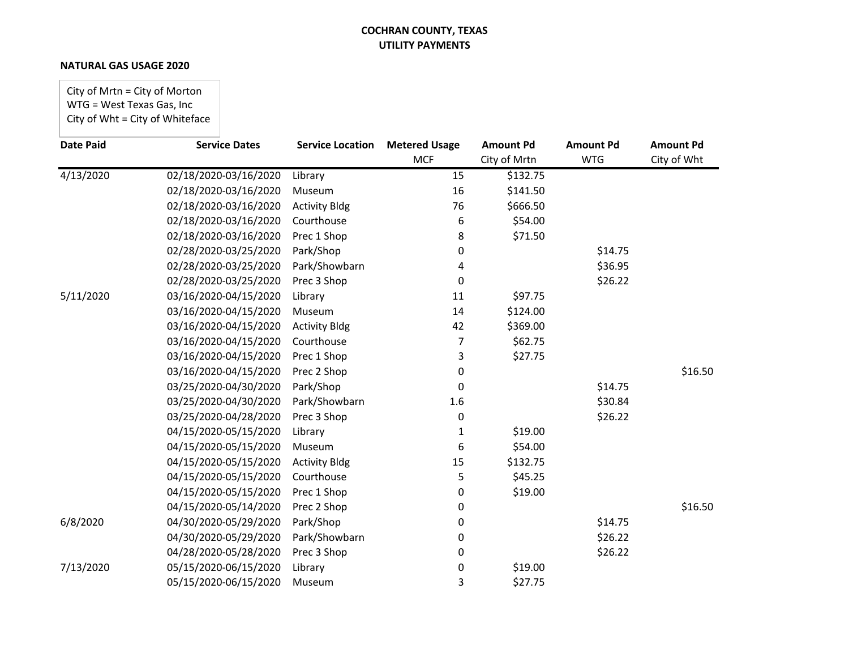#### **NATURAL GAS USAGE 2020**

City of Mrtn = City of Morton WTG = West Texas Gas, Inc City of Wht = City of Whiteface

| <b>Date Paid</b> | <b>Service Dates</b>  | <b>Service Location</b> | <b>Metered Usage</b> | <b>Amount Pd</b> | <b>Amount Pd</b> | <b>Amount Pd</b> |
|------------------|-----------------------|-------------------------|----------------------|------------------|------------------|------------------|
|                  |                       |                         | <b>MCF</b>           | City of Mrtn     | <b>WTG</b>       | City of Wht      |
| 4/13/2020        | 02/18/2020-03/16/2020 | Library                 | 15                   | \$132.75         |                  |                  |
|                  | 02/18/2020-03/16/2020 | Museum                  | 16                   | \$141.50         |                  |                  |
|                  | 02/18/2020-03/16/2020 | <b>Activity Bldg</b>    | 76                   | \$666.50         |                  |                  |
|                  | 02/18/2020-03/16/2020 | Courthouse              | 6                    | \$54.00          |                  |                  |
|                  | 02/18/2020-03/16/2020 | Prec 1 Shop             | 8                    | \$71.50          |                  |                  |
|                  | 02/28/2020-03/25/2020 | Park/Shop               | 0                    |                  | \$14.75          |                  |
|                  | 02/28/2020-03/25/2020 | Park/Showbarn           | 4                    |                  | \$36.95          |                  |
|                  | 02/28/2020-03/25/2020 | Prec 3 Shop             | 0                    |                  | \$26.22          |                  |
| 5/11/2020        | 03/16/2020-04/15/2020 | Library                 | 11                   | \$97.75          |                  |                  |
|                  | 03/16/2020-04/15/2020 | Museum                  | 14                   | \$124.00         |                  |                  |
|                  | 03/16/2020-04/15/2020 | <b>Activity Bldg</b>    | 42                   | \$369.00         |                  |                  |
|                  | 03/16/2020-04/15/2020 | Courthouse              | 7                    | \$62.75          |                  |                  |
|                  | 03/16/2020-04/15/2020 | Prec 1 Shop             | 3                    | \$27.75          |                  |                  |
|                  | 03/16/2020-04/15/2020 | Prec 2 Shop             | 0                    |                  |                  | \$16.50          |
|                  | 03/25/2020-04/30/2020 | Park/Shop               | 0                    |                  | \$14.75          |                  |
|                  | 03/25/2020-04/30/2020 | Park/Showbarn           | 1.6                  |                  | \$30.84          |                  |
|                  | 03/25/2020-04/28/2020 | Prec 3 Shop             | 0                    |                  | \$26.22          |                  |
|                  | 04/15/2020-05/15/2020 | Library                 | 1                    | \$19.00          |                  |                  |
|                  | 04/15/2020-05/15/2020 | Museum                  | 6                    | \$54.00          |                  |                  |
|                  | 04/15/2020-05/15/2020 | <b>Activity Bldg</b>    | 15                   | \$132.75         |                  |                  |
|                  | 04/15/2020-05/15/2020 | Courthouse              | 5                    | \$45.25          |                  |                  |
|                  | 04/15/2020-05/15/2020 | Prec 1 Shop             | 0                    | \$19.00          |                  |                  |
|                  | 04/15/2020-05/14/2020 | Prec 2 Shop             | 0                    |                  |                  | \$16.50          |
| 6/8/2020         | 04/30/2020-05/29/2020 | Park/Shop               | 0                    |                  | \$14.75          |                  |
|                  | 04/30/2020-05/29/2020 | Park/Showbarn           | 0                    |                  | \$26.22          |                  |
|                  | 04/28/2020-05/28/2020 | Prec 3 Shop             | 0                    |                  | \$26.22          |                  |
| 7/13/2020        | 05/15/2020-06/15/2020 | Library                 | 0                    | \$19.00          |                  |                  |
|                  | 05/15/2020-06/15/2020 | Museum                  | 3                    | \$27.75          |                  |                  |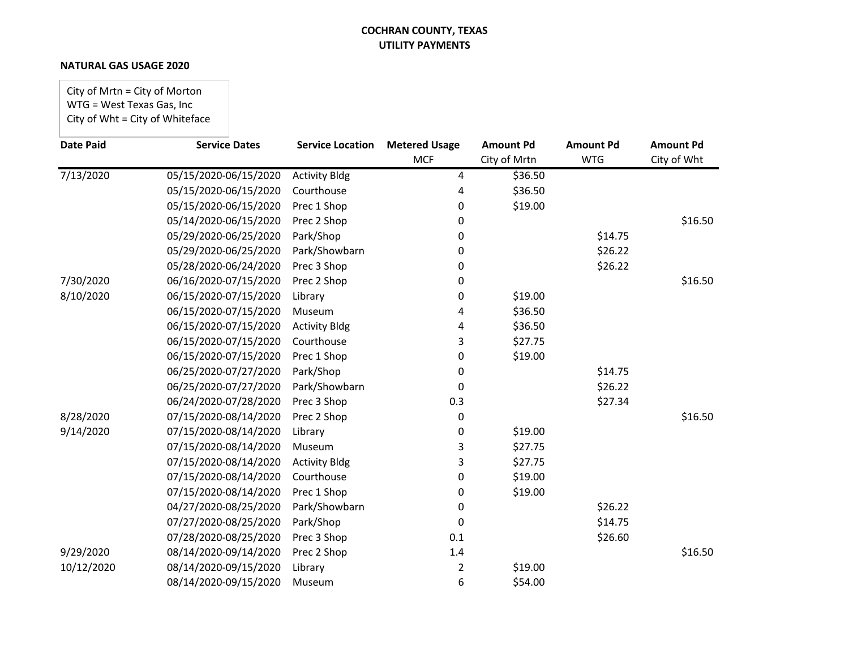#### **NATURAL GAS USAGE 2020**

City of Mrtn = City of Morton WTG = West Texas Gas, Inc City of Wht = City of Whiteface

| <b>Date Paid</b> | <b>Service Dates</b>  | <b>Service Location</b> | <b>Metered Usage</b> | <b>Amount Pd</b> | <b>Amount Pd</b> | <b>Amount Pd</b> |
|------------------|-----------------------|-------------------------|----------------------|------------------|------------------|------------------|
|                  |                       |                         | <b>MCF</b>           | City of Mrtn     | <b>WTG</b>       | City of Wht      |
| 7/13/2020        | 05/15/2020-06/15/2020 | <b>Activity Bldg</b>    | 4                    | \$36.50          |                  |                  |
|                  | 05/15/2020-06/15/2020 | Courthouse              | 4                    | \$36.50          |                  |                  |
|                  | 05/15/2020-06/15/2020 | Prec 1 Shop             | 0                    | \$19.00          |                  |                  |
|                  | 05/14/2020-06/15/2020 | Prec 2 Shop             | 0                    |                  |                  | \$16.50          |
|                  | 05/29/2020-06/25/2020 | Park/Shop               | 0                    |                  | \$14.75          |                  |
|                  | 05/29/2020-06/25/2020 | Park/Showbarn           | 0                    |                  | \$26.22          |                  |
|                  | 05/28/2020-06/24/2020 | Prec 3 Shop             | 0                    |                  | \$26.22          |                  |
| 7/30/2020        | 06/16/2020-07/15/2020 | Prec 2 Shop             | 0                    |                  |                  | \$16.50          |
| 8/10/2020        | 06/15/2020-07/15/2020 | Library                 | 0                    | \$19.00          |                  |                  |
|                  | 06/15/2020-07/15/2020 | Museum                  | 4                    | \$36.50          |                  |                  |
|                  | 06/15/2020-07/15/2020 | <b>Activity Bldg</b>    | 4                    | \$36.50          |                  |                  |
|                  | 06/15/2020-07/15/2020 | Courthouse              | 3                    | \$27.75          |                  |                  |
|                  | 06/15/2020-07/15/2020 | Prec 1 Shop             | 0                    | \$19.00          |                  |                  |
|                  | 06/25/2020-07/27/2020 | Park/Shop               | 0                    |                  | \$14.75          |                  |
|                  | 06/25/2020-07/27/2020 | Park/Showbarn           | 0                    |                  | \$26.22          |                  |
|                  | 06/24/2020-07/28/2020 | Prec 3 Shop             | 0.3                  |                  | \$27.34          |                  |
| 8/28/2020        | 07/15/2020-08/14/2020 | Prec 2 Shop             | 0                    |                  |                  | \$16.50          |
| 9/14/2020        | 07/15/2020-08/14/2020 | Library                 | 0                    | \$19.00          |                  |                  |
|                  | 07/15/2020-08/14/2020 | Museum                  | 3                    | \$27.75          |                  |                  |
|                  | 07/15/2020-08/14/2020 | <b>Activity Bldg</b>    | 3                    | \$27.75          |                  |                  |
|                  | 07/15/2020-08/14/2020 | Courthouse              | 0                    | \$19.00          |                  |                  |
|                  | 07/15/2020-08/14/2020 | Prec 1 Shop             | 0                    | \$19.00          |                  |                  |
|                  | 04/27/2020-08/25/2020 | Park/Showbarn           | 0                    |                  | \$26.22          |                  |
|                  | 07/27/2020-08/25/2020 | Park/Shop               | 0                    |                  | \$14.75          |                  |
|                  | 07/28/2020-08/25/2020 | Prec 3 Shop             | 0.1                  |                  | \$26.60          |                  |
| 9/29/2020        | 08/14/2020-09/14/2020 | Prec 2 Shop             | 1.4                  |                  |                  | \$16.50          |
| 10/12/2020       | 08/14/2020-09/15/2020 | Library                 | 2                    | \$19.00          |                  |                  |
|                  | 08/14/2020-09/15/2020 | Museum                  | 6                    | \$54.00          |                  |                  |